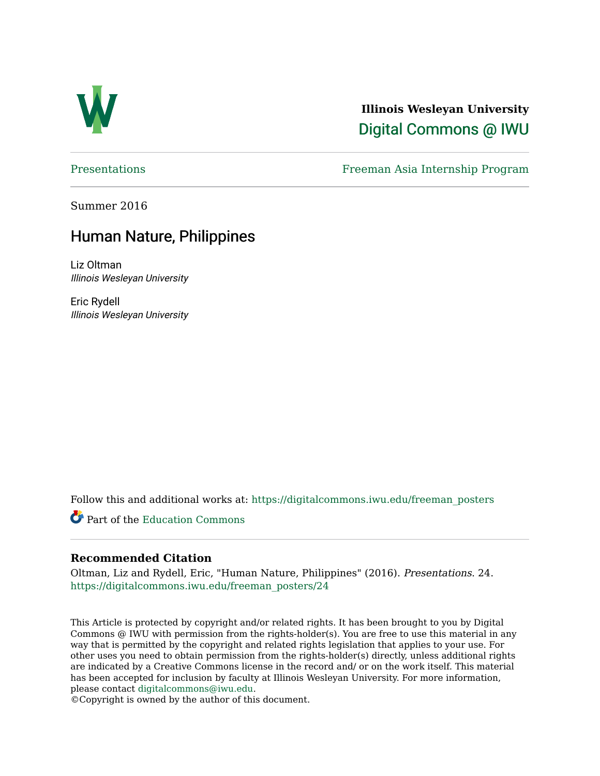

**Illinois Wesleyan University**  [Digital Commons @ IWU](https://digitalcommons.iwu.edu/) 

[Presentations](https://digitalcommons.iwu.edu/freeman_posters) Freeman Asia Internship Program

Summer 2016

#### Human Nature, Philippines

Liz Oltman Illinois Wesleyan University

Eric Rydell Illinois Wesleyan University

Follow this and additional works at: [https://digitalcommons.iwu.edu/freeman\\_posters](https://digitalcommons.iwu.edu/freeman_posters?utm_source=digitalcommons.iwu.edu%2Ffreeman_posters%2F24&utm_medium=PDF&utm_campaign=PDFCoverPages) 

Part of the [Education Commons](http://network.bepress.com/hgg/discipline/784?utm_source=digitalcommons.iwu.edu%2Ffreeman_posters%2F24&utm_medium=PDF&utm_campaign=PDFCoverPages)

#### **Recommended Citation**

Oltman, Liz and Rydell, Eric, "Human Nature, Philippines" (2016). Presentations. 24. [https://digitalcommons.iwu.edu/freeman\\_posters/24](https://digitalcommons.iwu.edu/freeman_posters/24?utm_source=digitalcommons.iwu.edu%2Ffreeman_posters%2F24&utm_medium=PDF&utm_campaign=PDFCoverPages) 

This Article is protected by copyright and/or related rights. It has been brought to you by Digital Commons @ IWU with permission from the rights-holder(s). You are free to use this material in any way that is permitted by the copyright and related rights legislation that applies to your use. For other uses you need to obtain permission from the rights-holder(s) directly, unless additional rights are indicated by a Creative Commons license in the record and/ or on the work itself. This material has been accepted for inclusion by faculty at Illinois Wesleyan University. For more information, please contact [digitalcommons@iwu.edu.](mailto:digitalcommons@iwu.edu)

©Copyright is owned by the author of this document.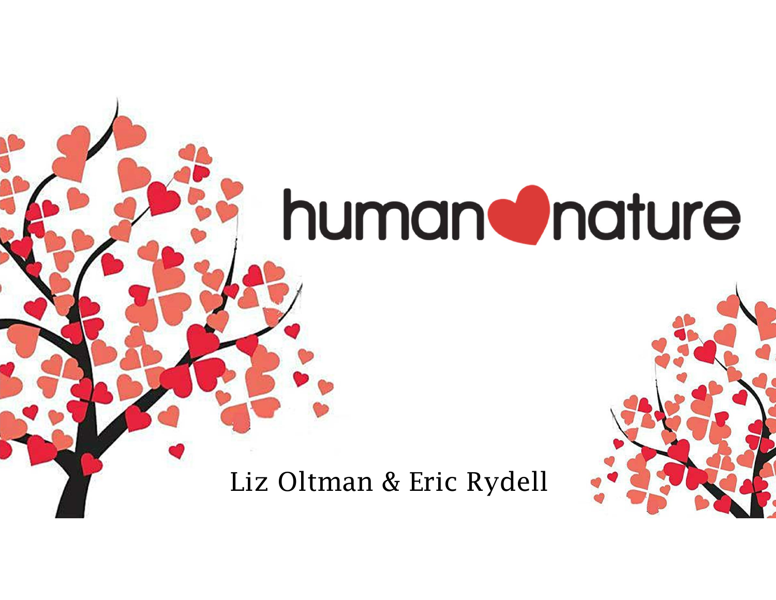# human **O**nature

Liz Oltman & Eric Rydell

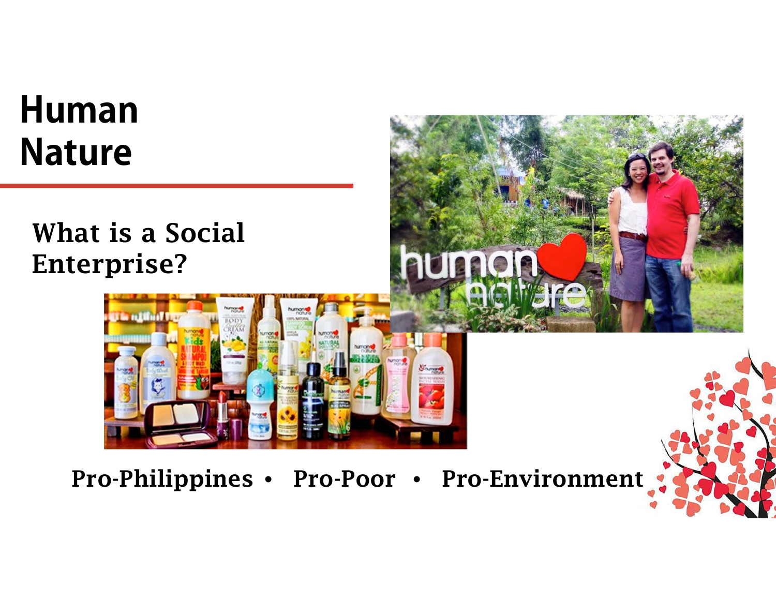## **HumanNature**

#### What is a Social Enterprise?



Pro-Philippines • Pro-Poor • Pro-Environment

Umon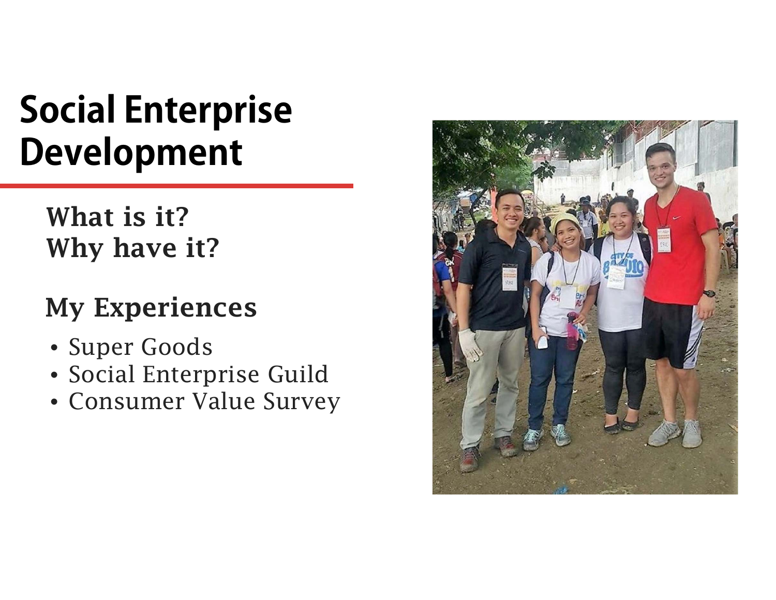# **Social Enterprise Development**

#### What is it?Why have it?

#### My Experiences

- Super Goods
- Social Enterprise Guild
- Consumer Value Survey